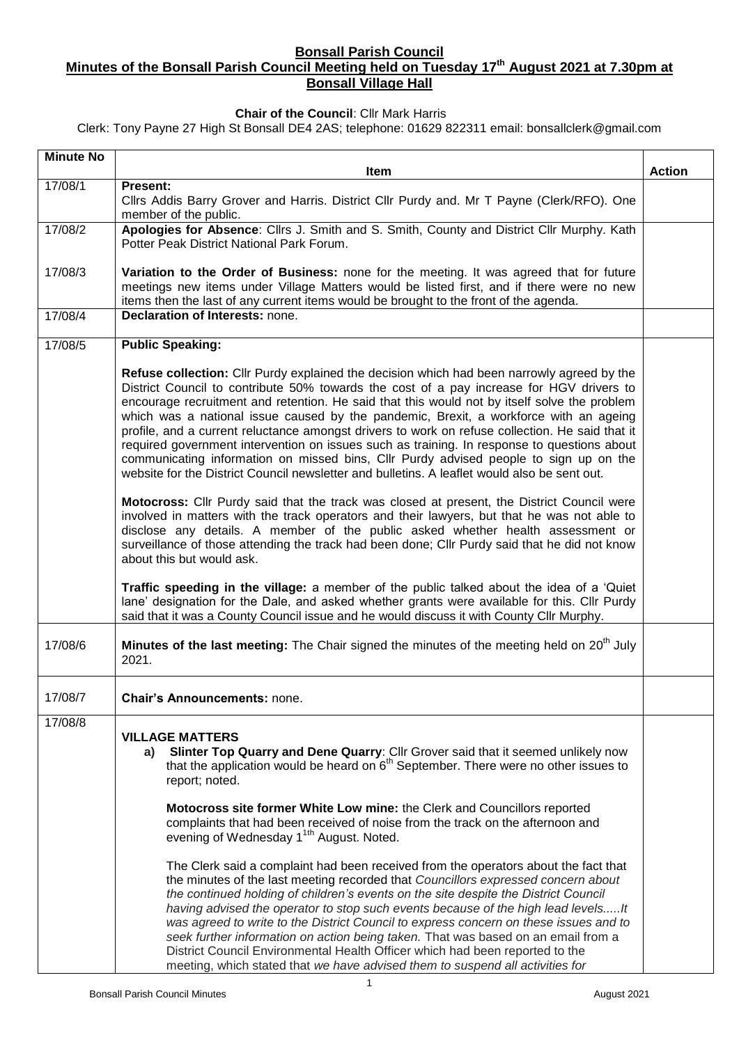# **Bonsall Parish Council Minutes of the Bonsall Parish Council Meeting held on Tuesday 17th August 2021 at 7.30pm at Bonsall Village Hall**

### **Chair of the Council**: Cllr Mark Harris

Clerk: Tony Payne 27 High St Bonsall DE4 2AS; telephone: 01629 822311 email: bonsallclerk@gmail.com

| <b>Minute No</b> | Item                                                                                                                                                                                                                                                                                                                                                                                                                                                                                                                                                                                                                                                                                                                                                                                                                                                                                                                                                                                                                                                                                                                                                                                     | <b>Action</b> |  |  |  |  |  |
|------------------|------------------------------------------------------------------------------------------------------------------------------------------------------------------------------------------------------------------------------------------------------------------------------------------------------------------------------------------------------------------------------------------------------------------------------------------------------------------------------------------------------------------------------------------------------------------------------------------------------------------------------------------------------------------------------------------------------------------------------------------------------------------------------------------------------------------------------------------------------------------------------------------------------------------------------------------------------------------------------------------------------------------------------------------------------------------------------------------------------------------------------------------------------------------------------------------|---------------|--|--|--|--|--|
| 17/08/1          | Present:<br>Cllrs Addis Barry Grover and Harris. District Cllr Purdy and. Mr T Payne (Clerk/RFO). One<br>member of the public.                                                                                                                                                                                                                                                                                                                                                                                                                                                                                                                                                                                                                                                                                                                                                                                                                                                                                                                                                                                                                                                           |               |  |  |  |  |  |
| 17/08/2          | Apologies for Absence: Cllrs J. Smith and S. Smith, County and District Cllr Murphy. Kath<br>Potter Peak District National Park Forum.                                                                                                                                                                                                                                                                                                                                                                                                                                                                                                                                                                                                                                                                                                                                                                                                                                                                                                                                                                                                                                                   |               |  |  |  |  |  |
| 17/08/3          | Variation to the Order of Business: none for the meeting. It was agreed that for future<br>meetings new items under Village Matters would be listed first, and if there were no new<br>items then the last of any current items would be brought to the front of the agenda.                                                                                                                                                                                                                                                                                                                                                                                                                                                                                                                                                                                                                                                                                                                                                                                                                                                                                                             |               |  |  |  |  |  |
| 17/08/4          | Declaration of Interests: none.                                                                                                                                                                                                                                                                                                                                                                                                                                                                                                                                                                                                                                                                                                                                                                                                                                                                                                                                                                                                                                                                                                                                                          |               |  |  |  |  |  |
| 17/08/5          | <b>Public Speaking:</b>                                                                                                                                                                                                                                                                                                                                                                                                                                                                                                                                                                                                                                                                                                                                                                                                                                                                                                                                                                                                                                                                                                                                                                  |               |  |  |  |  |  |
|                  | Refuse collection: Cllr Purdy explained the decision which had been narrowly agreed by the<br>District Council to contribute 50% towards the cost of a pay increase for HGV drivers to<br>encourage recruitment and retention. He said that this would not by itself solve the problem<br>which was a national issue caused by the pandemic, Brexit, a workforce with an ageing<br>profile, and a current reluctance amongst drivers to work on refuse collection. He said that it<br>required government intervention on issues such as training. In response to questions about<br>communicating information on missed bins, Cllr Purdy advised people to sign up on the<br>website for the District Council newsletter and bulletins. A leaflet would also be sent out.<br>Motocross: Cllr Purdy said that the track was closed at present, the District Council were<br>involved in matters with the track operators and their lawyers, but that he was not able to<br>disclose any details. A member of the public asked whether health assessment or<br>surveillance of those attending the track had been done; Cllr Purdy said that he did not know<br>about this but would ask. |               |  |  |  |  |  |
|                  | Traffic speeding in the village: a member of the public talked about the idea of a 'Quiet<br>lane' designation for the Dale, and asked whether grants were available for this. Cllr Purdy<br>said that it was a County Council issue and he would discuss it with County Cllr Murphy.                                                                                                                                                                                                                                                                                                                                                                                                                                                                                                                                                                                                                                                                                                                                                                                                                                                                                                    |               |  |  |  |  |  |
| 17/08/6          | Minutes of the last meeting: The Chair signed the minutes of the meeting held on 20 <sup>th</sup> July<br>2021.                                                                                                                                                                                                                                                                                                                                                                                                                                                                                                                                                                                                                                                                                                                                                                                                                                                                                                                                                                                                                                                                          |               |  |  |  |  |  |
| 17/08/7          | <b>Chair's Announcements: none.</b>                                                                                                                                                                                                                                                                                                                                                                                                                                                                                                                                                                                                                                                                                                                                                                                                                                                                                                                                                                                                                                                                                                                                                      |               |  |  |  |  |  |
| 17/08/8          | <b>VILLAGE MATTERS</b><br>Slinter Top Quarry and Dene Quarry: Cllr Grover said that it seemed unlikely now<br>a)<br>that the application would be heard on 6 <sup>th</sup> September. There were no other issues to<br>report; noted.<br>Motocross site former White Low mine: the Clerk and Councillors reported<br>complaints that had been received of noise from the track on the afternoon and<br>evening of Wednesday 1 <sup>1th</sup> August. Noted.<br>The Clerk said a complaint had been received from the operators about the fact that<br>the minutes of the last meeting recorded that Councillors expressed concern about<br>the continued holding of children's events on the site despite the District Council                                                                                                                                                                                                                                                                                                                                                                                                                                                           |               |  |  |  |  |  |
|                  | having advised the operator to stop such events because of the high lead levelsIt<br>was agreed to write to the District Council to express concern on these issues and to<br>seek further information on action being taken. That was based on an email from a<br>District Council Environmental Health Officer which had been reported to the<br>meeting, which stated that we have advised them to suspend all activities for                                                                                                                                                                                                                                                                                                                                                                                                                                                                                                                                                                                                                                                                                                                                                         |               |  |  |  |  |  |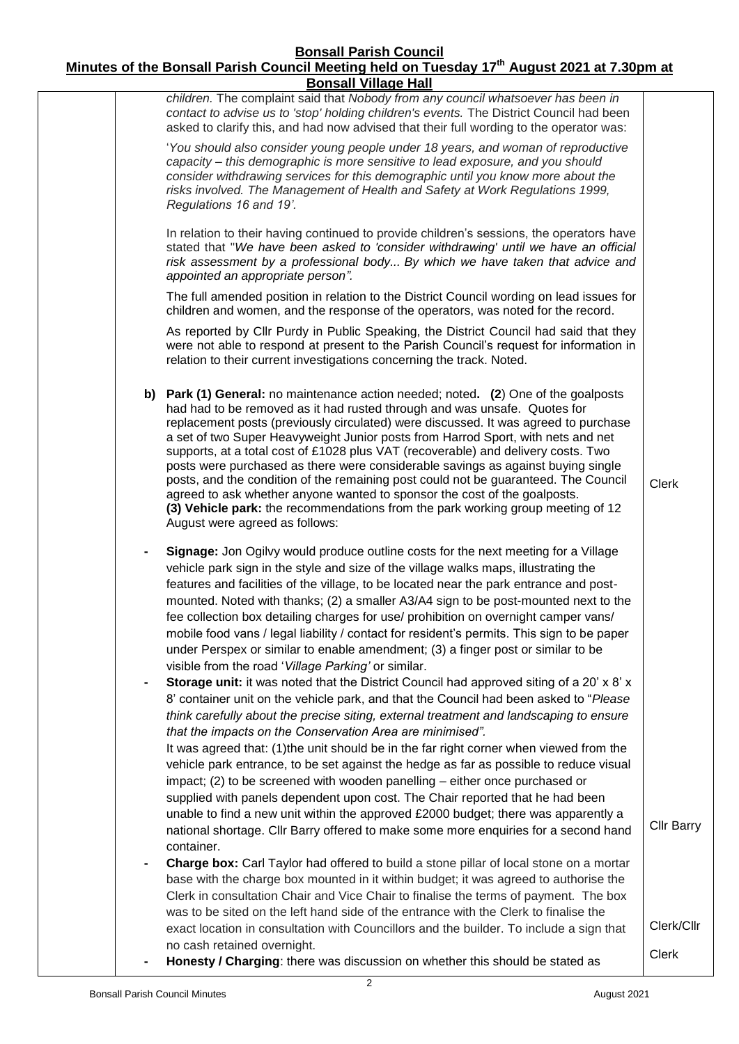#### **Bonsall Parish Council Minutes of the Bonsall Parish Council Meeting held on Tuesday 17th August 2021 at 7.30pm at Bonsall Village Hall**

| <b>Bonsall Village Hall</b>                                                                                                                                                                                                                                                                                                                                                                                                                                                                                                                                                                                                                                                                                                                                                                                                                                                                                                                                                                                                                                                                                                                                                                                                                                                                                                                                                                |                   |
|--------------------------------------------------------------------------------------------------------------------------------------------------------------------------------------------------------------------------------------------------------------------------------------------------------------------------------------------------------------------------------------------------------------------------------------------------------------------------------------------------------------------------------------------------------------------------------------------------------------------------------------------------------------------------------------------------------------------------------------------------------------------------------------------------------------------------------------------------------------------------------------------------------------------------------------------------------------------------------------------------------------------------------------------------------------------------------------------------------------------------------------------------------------------------------------------------------------------------------------------------------------------------------------------------------------------------------------------------------------------------------------------|-------------------|
| children. The complaint said that Nobody from any council whatsoever has been in<br>contact to advise us to 'stop' holding children's events. The District Council had been<br>asked to clarify this, and had now advised that their full wording to the operator was:                                                                                                                                                                                                                                                                                                                                                                                                                                                                                                                                                                                                                                                                                                                                                                                                                                                                                                                                                                                                                                                                                                                     |                   |
| 'You should also consider young people under 18 years, and woman of reproductive<br>capacity – this demographic is more sensitive to lead exposure, and you should<br>consider withdrawing services for this demographic until you know more about the<br>risks involved. The Management of Health and Safety at Work Regulations 1999,<br>Regulations 16 and 19'.                                                                                                                                                                                                                                                                                                                                                                                                                                                                                                                                                                                                                                                                                                                                                                                                                                                                                                                                                                                                                         |                   |
| In relation to their having continued to provide children's sessions, the operators have<br>stated that "We have been asked to 'consider withdrawing' until we have an official<br>risk assessment by a professional body By which we have taken that advice and<br>appointed an appropriate person".                                                                                                                                                                                                                                                                                                                                                                                                                                                                                                                                                                                                                                                                                                                                                                                                                                                                                                                                                                                                                                                                                      |                   |
| The full amended position in relation to the District Council wording on lead issues for<br>children and women, and the response of the operators, was noted for the record.                                                                                                                                                                                                                                                                                                                                                                                                                                                                                                                                                                                                                                                                                                                                                                                                                                                                                                                                                                                                                                                                                                                                                                                                               |                   |
| As reported by Cllr Purdy in Public Speaking, the District Council had said that they<br>were not able to respond at present to the Parish Council's request for information in<br>relation to their current investigations concerning the track. Noted.                                                                                                                                                                                                                                                                                                                                                                                                                                                                                                                                                                                                                                                                                                                                                                                                                                                                                                                                                                                                                                                                                                                                   |                   |
| b) Park (1) General: no maintenance action needed; noted. (2) One of the goalposts<br>had had to be removed as it had rusted through and was unsafe. Quotes for<br>replacement posts (previously circulated) were discussed. It was agreed to purchase<br>a set of two Super Heavyweight Junior posts from Harrod Sport, with nets and net<br>supports, at a total cost of £1028 plus VAT (recoverable) and delivery costs. Two<br>posts were purchased as there were considerable savings as against buying single<br>posts, and the condition of the remaining post could not be guaranteed. The Council<br>agreed to ask whether anyone wanted to sponsor the cost of the goalposts.<br>(3) Vehicle park: the recommendations from the park working group meeting of 12<br>August were agreed as follows:                                                                                                                                                                                                                                                                                                                                                                                                                                                                                                                                                                               | <b>Clerk</b>      |
| Signage: Jon Ogilvy would produce outline costs for the next meeting for a Village<br>vehicle park sign in the style and size of the village walks maps, illustrating the<br>features and facilities of the village, to be located near the park entrance and post-<br>mounted. Noted with thanks; (2) a smaller A3/A4 sign to be post-mounted next to the<br>fee collection box detailing charges for use/ prohibition on overnight camper vans/<br>mobile food vans / legal liability / contact for resident's permits. This sign to be paper<br>under Perspex or similar to enable amendment; (3) a finger post or similar to be<br>visible from the road 'Village Parking' or similar.<br>Storage unit: it was noted that the District Council had approved siting of a 20' x 8' x<br>8' container unit on the vehicle park, and that the Council had been asked to "Please<br>think carefully about the precise siting, external treatment and landscaping to ensure<br>that the impacts on the Conservation Area are minimised".<br>It was agreed that: (1)the unit should be in the far right corner when viewed from the<br>vehicle park entrance, to be set against the hedge as far as possible to reduce visual<br>impact; (2) to be screened with wooden panelling - either once purchased or<br>supplied with panels dependent upon cost. The Chair reported that he had been |                   |
| unable to find a new unit within the approved £2000 budget; there was apparently a<br>national shortage. Cllr Barry offered to make some more enquiries for a second hand<br>container.                                                                                                                                                                                                                                                                                                                                                                                                                                                                                                                                                                                                                                                                                                                                                                                                                                                                                                                                                                                                                                                                                                                                                                                                    | <b>Cllr Barry</b> |
| Charge box: Carl Taylor had offered to build a stone pillar of local stone on a mortar<br>base with the charge box mounted in it within budget; it was agreed to authorise the<br>Clerk in consultation Chair and Vice Chair to finalise the terms of payment. The box                                                                                                                                                                                                                                                                                                                                                                                                                                                                                                                                                                                                                                                                                                                                                                                                                                                                                                                                                                                                                                                                                                                     |                   |
| was to be sited on the left hand side of the entrance with the Clerk to finalise the<br>exact location in consultation with Councillors and the builder. To include a sign that                                                                                                                                                                                                                                                                                                                                                                                                                                                                                                                                                                                                                                                                                                                                                                                                                                                                                                                                                                                                                                                                                                                                                                                                            | Clerk/Cllr        |
| no cash retained overnight.<br>Honesty / Charging: there was discussion on whether this should be stated as                                                                                                                                                                                                                                                                                                                                                                                                                                                                                                                                                                                                                                                                                                                                                                                                                                                                                                                                                                                                                                                                                                                                                                                                                                                                                | Clerk             |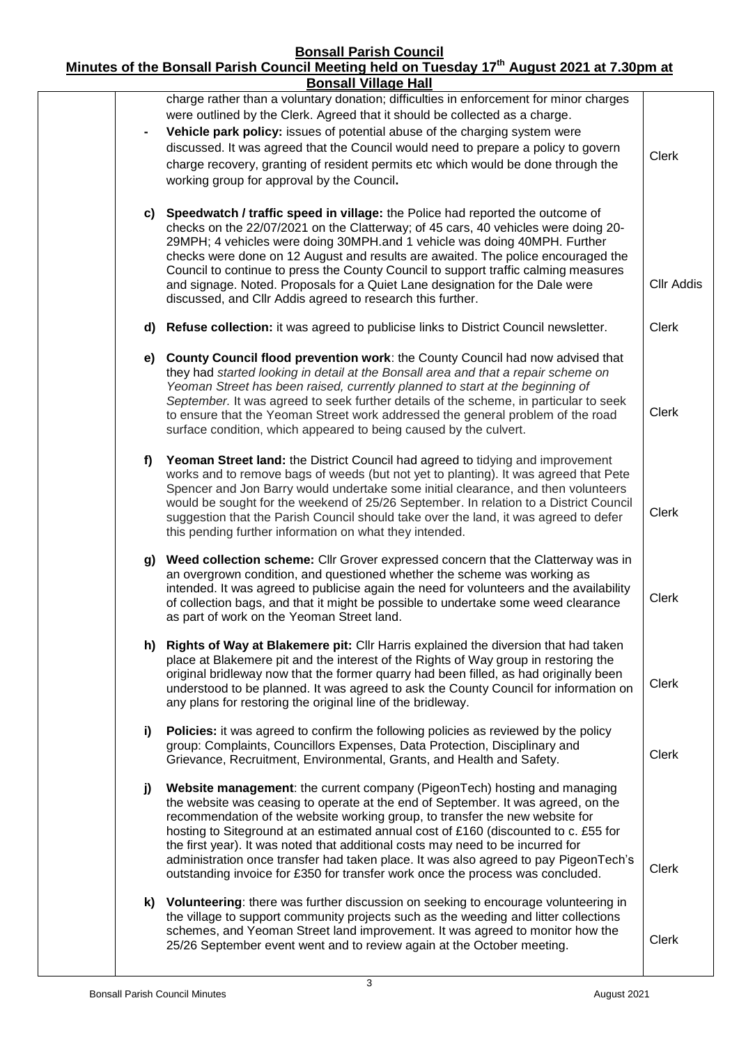# **Bonsall Parish Council Minutes of the Bonsall Parish Council Meeting held on Tuesday 17th August 2021 at 7.30pm at**

| <b>Bonsall Village Hall</b> |                          |                                                                                                                                                                                                                                                                                                                                                                                                                                                                                                                                                                                                    |              |  |  |  |
|-----------------------------|--------------------------|----------------------------------------------------------------------------------------------------------------------------------------------------------------------------------------------------------------------------------------------------------------------------------------------------------------------------------------------------------------------------------------------------------------------------------------------------------------------------------------------------------------------------------------------------------------------------------------------------|--------------|--|--|--|
|                             |                          | charge rather than a voluntary donation; difficulties in enforcement for minor charges                                                                                                                                                                                                                                                                                                                                                                                                                                                                                                             |              |  |  |  |
|                             |                          | were outlined by the Clerk. Agreed that it should be collected as a charge.                                                                                                                                                                                                                                                                                                                                                                                                                                                                                                                        |              |  |  |  |
|                             | $\overline{\phantom{0}}$ | Vehicle park policy: issues of potential abuse of the charging system were                                                                                                                                                                                                                                                                                                                                                                                                                                                                                                                         |              |  |  |  |
|                             |                          | discussed. It was agreed that the Council would need to prepare a policy to govern                                                                                                                                                                                                                                                                                                                                                                                                                                                                                                                 | <b>Clerk</b> |  |  |  |
|                             |                          | charge recovery, granting of resident permits etc which would be done through the                                                                                                                                                                                                                                                                                                                                                                                                                                                                                                                  |              |  |  |  |
|                             |                          | working group for approval by the Council.                                                                                                                                                                                                                                                                                                                                                                                                                                                                                                                                                         |              |  |  |  |
|                             |                          | c) Speedwatch / traffic speed in village: the Police had reported the outcome of<br>checks on the 22/07/2021 on the Clatterway; of 45 cars, 40 vehicles were doing 20-<br>29MPH; 4 vehicles were doing 30MPH and 1 vehicle was doing 40MPH. Further<br>checks were done on 12 August and results are awaited. The police encouraged the<br>Council to continue to press the County Council to support traffic calming measures                                                                                                                                                                     |              |  |  |  |
|                             |                          | and signage. Noted. Proposals for a Quiet Lane designation for the Dale were<br>discussed, and Cllr Addis agreed to research this further.                                                                                                                                                                                                                                                                                                                                                                                                                                                         | Cllr Addis   |  |  |  |
|                             |                          | d) Refuse collection: it was agreed to publicise links to District Council newsletter.                                                                                                                                                                                                                                                                                                                                                                                                                                                                                                             | <b>Clerk</b> |  |  |  |
|                             |                          | e) County Council flood prevention work: the County Council had now advised that<br>they had started looking in detail at the Bonsall area and that a repair scheme on<br>Yeoman Street has been raised, currently planned to start at the beginning of<br>September. It was agreed to seek further details of the scheme, in particular to seek<br>to ensure that the Yeoman Street work addressed the general problem of the road<br>surface condition, which appeared to being caused by the culvert.                                                                                           | Clerk        |  |  |  |
|                             | f)                       | Yeoman Street land: the District Council had agreed to tidying and improvement<br>works and to remove bags of weeds (but not yet to planting). It was agreed that Pete<br>Spencer and Jon Barry would undertake some initial clearance, and then volunteers<br>would be sought for the weekend of 25/26 September. In relation to a District Council<br>suggestion that the Parish Council should take over the land, it was agreed to defer<br>this pending further information on what they intended.                                                                                            | <b>Clerk</b> |  |  |  |
|                             | g)                       | Weed collection scheme: Cllr Grover expressed concern that the Clatterway was in<br>an overgrown condition, and questioned whether the scheme was working as<br>intended. It was agreed to publicise again the need for volunteers and the availability<br>of collection bags, and that it might be possible to undertake some weed clearance<br>as part of work on the Yeoman Street land.                                                                                                                                                                                                        | <b>Clerk</b> |  |  |  |
|                             |                          | h) Rights of Way at Blakemere pit: Cllr Harris explained the diversion that had taken<br>place at Blakemere pit and the interest of the Rights of Way group in restoring the<br>original bridleway now that the former quarry had been filled, as had originally been<br>understood to be planned. It was agreed to ask the County Council for information on<br>any plans for restoring the original line of the bridleway.                                                                                                                                                                       | <b>Clerk</b> |  |  |  |
|                             | i)                       | Policies: it was agreed to confirm the following policies as reviewed by the policy<br>group: Complaints, Councillors Expenses, Data Protection, Disciplinary and<br>Grievance, Recruitment, Environmental, Grants, and Health and Safety.                                                                                                                                                                                                                                                                                                                                                         | <b>Clerk</b> |  |  |  |
|                             | j)                       | Website management: the current company (PigeonTech) hosting and managing<br>the website was ceasing to operate at the end of September. It was agreed, on the<br>recommendation of the website working group, to transfer the new website for<br>hosting to Siteground at an estimated annual cost of £160 (discounted to c. £55 for<br>the first year). It was noted that additional costs may need to be incurred for<br>administration once transfer had taken place. It was also agreed to pay PigeonTech's<br>outstanding invoice for £350 for transfer work once the process was concluded. | <b>Clerk</b> |  |  |  |
|                             |                          | k) Volunteering: there was further discussion on seeking to encourage volunteering in<br>the village to support community projects such as the weeding and litter collections<br>schemes, and Yeoman Street land improvement. It was agreed to monitor how the<br>25/26 September event went and to review again at the October meeting.                                                                                                                                                                                                                                                           | <b>Clerk</b> |  |  |  |
|                             |                          |                                                                                                                                                                                                                                                                                                                                                                                                                                                                                                                                                                                                    |              |  |  |  |